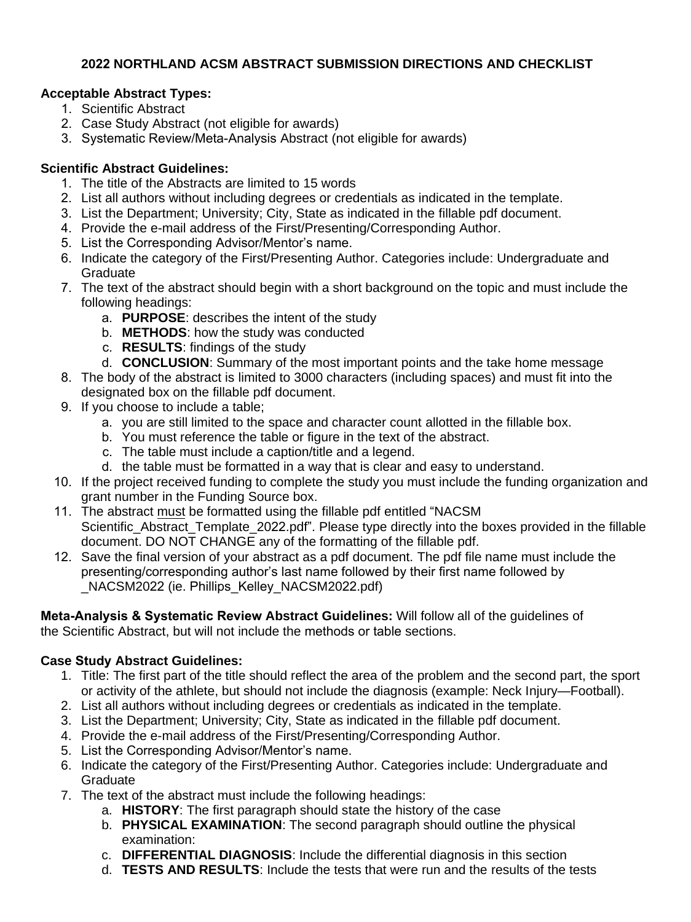# **2022 NORTHLAND ACSM ABSTRACT SUBMISSION DIRECTIONS AND CHECKLIST**

# **Acceptable Abstract Types:**

- 1. Scientific Abstract
- 2. Case Study Abstract (not eligible for awards)
- 3. Systematic Review/Meta-Analysis Abstract (not eligible for awards)

# **Scientific Abstract Guidelines:**

- 1. The title of the Abstracts are limited to 15 words
- 2. List all authors without including degrees or credentials as indicated in the template.
- 3. List the Department; University; City, State as indicated in the fillable pdf document.
- 4. Provide the e-mail address of the First/Presenting/Corresponding Author.
- 5. List the Corresponding Advisor/Mentor's name.
- 6. Indicate the category of the First/Presenting Author. Categories include: Undergraduate and **Graduate**
- 7. The text of the abstract should begin with a short background on the topic and must include the following headings:
	- a. **PURPOSE**: describes the intent of the study
	- b. **METHODS**: how the study was conducted
	- c. **RESULTS**: findings of the study
- d. **CONCLUSION**: Summary of the most important points and the take home message
- 8. The body of the abstract is limited to 3000 characters (including spaces) and must fit into the designated box on the fillable pdf document.
- 9. If you choose to include a table;
	- a. you are still limited to the space and character count allotted in the fillable box.
	- b. You must reference the table or figure in the text of the abstract.
	- c. The table must include a caption/title and a legend.
	- d. the table must be formatted in a way that is clear and easy to understand.
- 10. If the project received funding to complete the study you must include the funding organization and grant number in the Funding Source box.
- 11. The abstract must be formatted using the fillable pdf entitled "NACSM Scientific\_Abstract\_Template\_2022.pdf". Please type directly into the boxes provided in the fillable document. DO NOT CHANGE any of the formatting of the fillable pdf.
- 12. Save the final version of your abstract as a pdf document. The pdf file name must include the presenting/corresponding author's last name followed by their first name followed by \_NACSM2022 (ie. Phillips\_Kelley\_NACSM2022.pdf)

**Meta-Analysis & Systematic Review Abstract Guidelines:** Will follow all of the guidelines of the Scientific Abstract, but will not include the methods or table sections.

# **Case Study Abstract Guidelines:**

- 1. Title: The first part of the title should reflect the area of the problem and the second part, the sport or activity of the athlete, but should not include the diagnosis (example: Neck Injury—Football).
- 2. List all authors without including degrees or credentials as indicated in the template.
- 3. List the Department; University; City, State as indicated in the fillable pdf document.
- 4. Provide the e-mail address of the First/Presenting/Corresponding Author.
- 5. List the Corresponding Advisor/Mentor's name.
- 6. Indicate the category of the First/Presenting Author. Categories include: Undergraduate and **Graduate**
- 7. The text of the abstract must include the following headings:
	- a. **HISTORY**: The first paragraph should state the history of the case
	- b. **PHYSICAL EXAMINATION**: The second paragraph should outline the physical examination:
	- c. **DIFFERENTIAL DIAGNOSIS**: Include the differential diagnosis in this section
	- d. **TESTS AND RESULTS**: Include the tests that were run and the results of the tests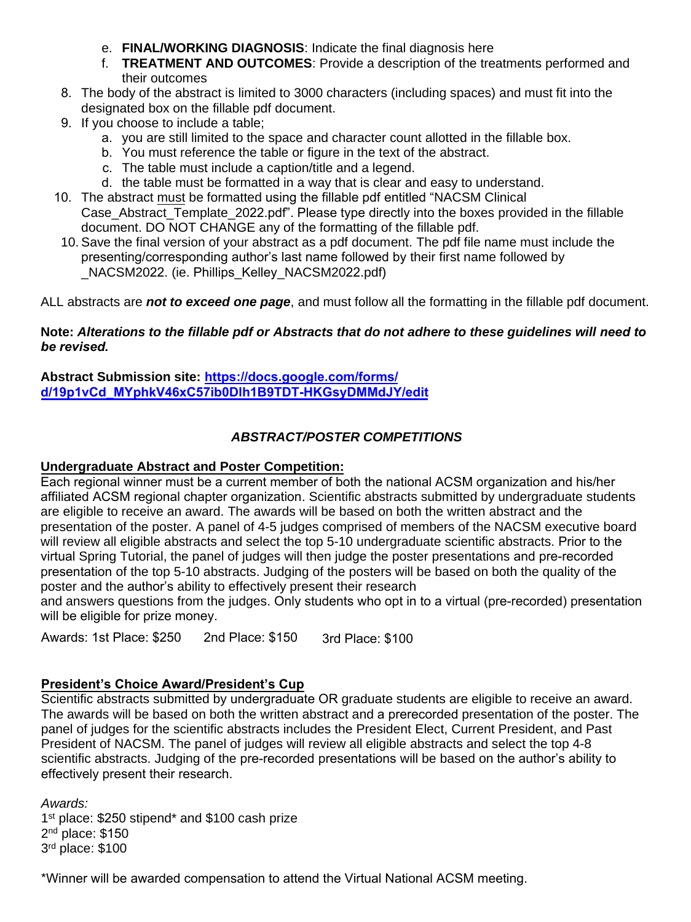- e. **FINAL/WORKING DIAGNOSIS**: Indicate the final diagnosis here
- f. **TREATMENT AND OUTCOMES**: Provide a description of the treatments performed and their outcomes
- 8. The body of the abstract is limited to 3000 characters (including spaces) and must fit into the designated box on the fillable pdf document.
- 9. If you choose to include a table;
	- a. you are still limited to the space and character count allotted in the fillable box.
	- b. You must reference the table or figure in the text of the abstract.
	- c. The table must include a caption/title and a legend.
	- d. the table must be formatted in a way that is clear and easy to understand.
- 10. The abstract must be formatted using the fillable pdf entitled "NACSM Clinical Case Abstract Template 2022.pdf". Please type directly into the boxes provided in the fillable document. DO NOT CHANGE any of the formatting of the fillable pdf.
- 10. Save the final version of your abstract as a pdf document. The pdf file name must include the presenting/corresponding author's last name followed by their first name followed by NACSM2022. (ie. Phillips\_Kelley\_NACSM2022.pdf)

ALL abstracts are *not to exceed one page*, and must follow all the formatting in the fillable pdf document.

#### **Note: Alterations to the fillable pdf or Abstracts that do not adhere to these guidelines will need to** *be revised.*

#### **Abstract Submission site: https://docs.google.com/forms/ [d/19p1vCd\\_MYphkV46xC57ib0Dlh1B9TDT-HKGsyDMMdJY/edit](https://docs.google.com/forms/d/19p1vCd_MYphkV46xC57ib0Dlh1B9TDT-HKGsyDMMdJY/edit)**

# *ABSTRACT/POSTER COMPETITIONS*

## **Undergraduate Abstract and Poster Competition:**

Each regional winner must be a current member of both the national ACSM organization and his/her affiliated ACSM regional chapter organization. Scientific abstracts submitted by undergraduate students are eligible to receive an award. The awards will be based on both the written abstract and the presentation of the poster. A panel of 4-5 judges comprised of members of the NACSM executive board will review all eligible abstracts and select the top 5-10 undergraduate scientific abstracts. Prior to the virtual Spring Tutorial, the panel of judges will then judge the poster presentations and pre-recorded presentation of the top 5-10 abstracts. Judging of the posters will be based on both the quality of the poster and the author's ability to effectively present their research

and answers questions from the judges. Only students who opt in to a virtual (pre-recorded) presentation will be eligible for prize money.

Awards: 1st Place: \$250 2nd Place: \$150 3rd Place: \$100

## **President's Choice Award/President's Cup**

Scientific abstracts submitted by undergraduate OR graduate students are eligible to receive an award. The awards will be based on both the written abstract and a prerecorded presentation of the poster. The panel of judges for the scientific abstracts includes the President Elect, Current President, and Past President of NACSM. The panel of judges will review all eligible abstracts and select the top 4-8 scientific abstracts. Judging of the pre-recorded presentations will be based on the author's ability to effectively present their research.

*Awards:* st place: \$250 stipend\* and \$100 cash prize nd place: \$150 rd place: \$100

\*Winner will be awarded compensation to attend the Virtual National ACSM meeting.